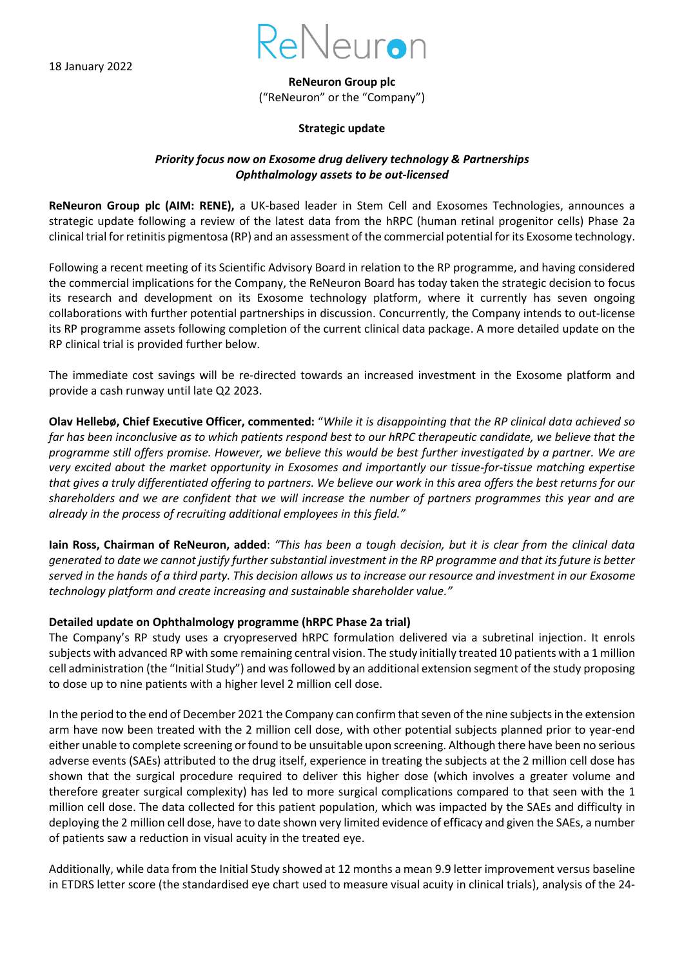

**ReNeuron Group plc** ("ReNeuron" or the "Company")

## **Strategic update**

# *Priority focus now on Exosome drug delivery technology & Partnerships Ophthalmology assets to be out-licensed*

**ReNeuron Group plc (AIM: RENE),** a UK-based leader in Stem Cell and Exosomes Technologies, announces a strategic update following a review of the latest data from the hRPC (human retinal progenitor cells) Phase 2a clinical trial for retinitis pigmentosa (RP) and an assessment of the commercial potential for its Exosome technology.

Following a recent meeting of its Scientific Advisory Board in relation to the RP programme, and having considered the commercial implications for the Company, the ReNeuron Board has today taken the strategic decision to focus its research and development on its Exosome technology platform, where it currently has seven ongoing collaborations with further potential partnerships in discussion. Concurrently, the Company intends to out-license its RP programme assets following completion of the current clinical data package. A more detailed update on the RP clinical trial is provided further below.

The immediate cost savings will be re-directed towards an increased investment in the Exosome platform and provide a cash runway until late Q2 2023.

**Olav Hellebø, Chief Executive Officer, commented:** "*While it is disappointing that the RP clinical data achieved so far has been inconclusive as to which patients respond best to our hRPC therapeutic candidate, we believe that the programme still offers promise. However, we believe this would be best further investigated by a partner. We are very excited about the market opportunity in Exosomes and importantly our tissue-for-tissue matching expertise that gives a truly differentiated offering to partners. We believe our work in this area offers the best returns for our shareholders and we are confident that we will increase the number of partners programmes this year and are already in the process of recruiting additional employees in this field."*

**Iain Ross, Chairman of ReNeuron, added**: *"This has been a tough decision, but it is clear from the clinical data generated to date we cannot justify further substantial investment in the RP programme and that its future is better served in the hands of a third party. This decision allows us to increase our resource and investment in our Exosome technology platform and create increasing and sustainable shareholder value."*

## **Detailed update on Ophthalmology programme (hRPC Phase 2a trial)**

The Company's RP study uses a cryopreserved hRPC formulation delivered via a subretinal injection. It enrols subjects with advanced RP with some remaining central vision. The study initially treated 10 patients with a 1 million cell administration (the "Initial Study") and was followed by an additional extension segment of the study proposing to dose up to nine patients with a higher level 2 million cell dose.

In the period to the end of December 2021 the Company can confirm that seven of the nine subjects in the extension arm have now been treated with the 2 million cell dose, with other potential subjects planned prior to year-end either unable to complete screening or found to be unsuitable upon screening. Although there have been no serious adverse events (SAEs) attributed to the drug itself, experience in treating the subjects at the 2 million cell dose has shown that the surgical procedure required to deliver this higher dose (which involves a greater volume and therefore greater surgical complexity) has led to more surgical complications compared to that seen with the 1 million cell dose. The data collected for this patient population, which was impacted by the SAEs and difficulty in deploying the 2 million cell dose, have to date shown very limited evidence of efficacy and given the SAEs, a number of patients saw a reduction in visual acuity in the treated eye.

Additionally, while data from the Initial Study showed at 12 months a mean 9.9 letter improvement versus baseline in ETDRS letter score (the standardised eye chart used to measure visual acuity in clinical trials), analysis of the 24-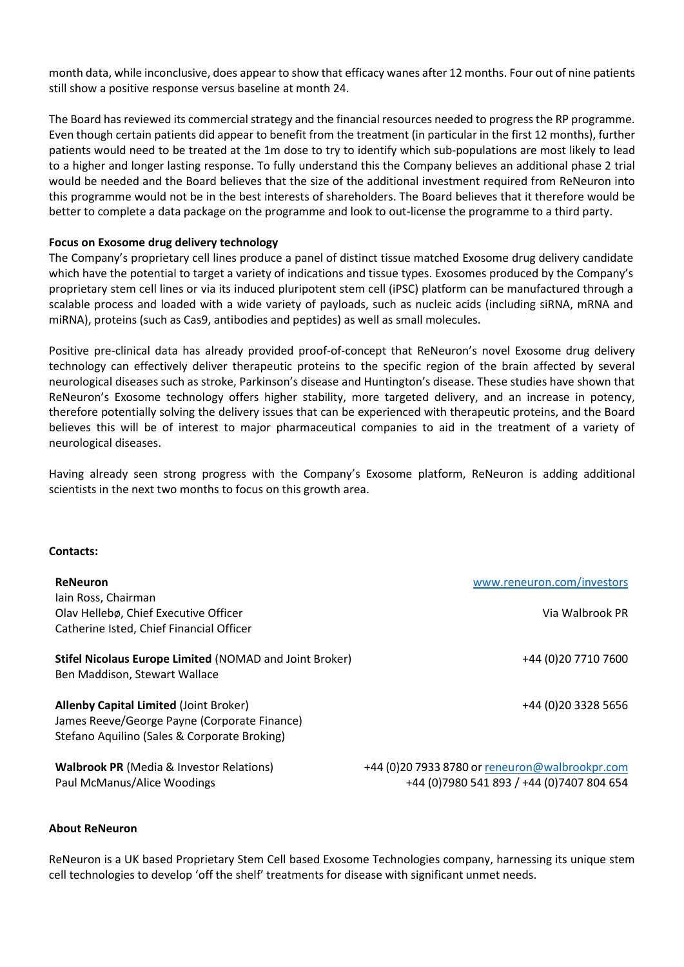month data, while inconclusive, does appear to show that efficacy wanes after 12 months. Four out of nine patients still show a positive response versus baseline at month 24.

The Board has reviewed its commercial strategy and the financial resources needed to progress the RP programme. Even though certain patients did appear to benefit from the treatment (in particular in the first 12 months), further patients would need to be treated at the 1m dose to try to identify which sub-populations are most likely to lead to a higher and longer lasting response. To fully understand this the Company believes an additional phase 2 trial would be needed and the Board believes that the size of the additional investment required from ReNeuron into this programme would not be in the best interests of shareholders. The Board believes that it therefore would be better to complete a data package on the programme and look to out-license the programme to a third party.

## **Focus on Exosome drug delivery technology**

The Company's proprietary cell lines produce a panel of distinct tissue matched Exosome drug delivery candidate which have the potential to target a variety of indications and tissue types. Exosomes produced by the Company's proprietary stem cell lines or via its induced pluripotent stem cell (iPSC) platform can be manufactured through a scalable process and loaded with a wide variety of payloads, such as nucleic acids (including siRNA, mRNA and miRNA), proteins (such as Cas9, antibodies and peptides) as well as small molecules.

Positive pre-clinical data has already provided proof-of-concept that ReNeuron's novel Exosome drug delivery technology can effectively deliver therapeutic proteins to the specific region of the brain affected by several neurological diseases such as stroke, Parkinson's disease and Huntington's disease. These studies have shown that ReNeuron's Exosome technology offers higher stability, more targeted delivery, and an increase in potency, therefore potentially solving the delivery issues that can be experienced with therapeutic proteins, and the Board believes this will be of interest to major pharmaceutical companies to aid in the treatment of a variety of neurological diseases.

Having already seen strong progress with the Company's Exosome platform, ReNeuron is adding additional scientists in the next two months to focus on this growth area.

#### **Contacts:**

| <b>ReNeuron</b>                                                                                                                               | www.reneuron.com/investors                                                                  |
|-----------------------------------------------------------------------------------------------------------------------------------------------|---------------------------------------------------------------------------------------------|
| lain Ross, Chairman<br>Olav Hellebø, Chief Executive Officer<br>Catherine Isted, Chief Financial Officer                                      | Via Walbrook PR                                                                             |
| Stifel Nicolaus Europe Limited (NOMAD and Joint Broker)<br>Ben Maddison, Stewart Wallace                                                      | +44 (0) 20 7710 7600                                                                        |
| <b>Allenby Capital Limited (Joint Broker)</b><br>James Reeve/George Payne (Corporate Finance)<br>Stefano Aquilino (Sales & Corporate Broking) | +44 (0) 20 3328 5656                                                                        |
| <b>Walbrook PR (Media &amp; Investor Relations)</b><br>Paul McManus/Alice Woodings                                                            | +44 (0)20 7933 8780 or reneuron@walbrookpr.com<br>+44 (0)7980 541 893 / +44 (0)7407 804 654 |

#### **About ReNeuron**

ReNeuron is a UK based Proprietary Stem Cell based Exosome Technologies company, harnessing its unique stem cell technologies to develop 'off the shelf' treatments for disease with significant unmet needs.